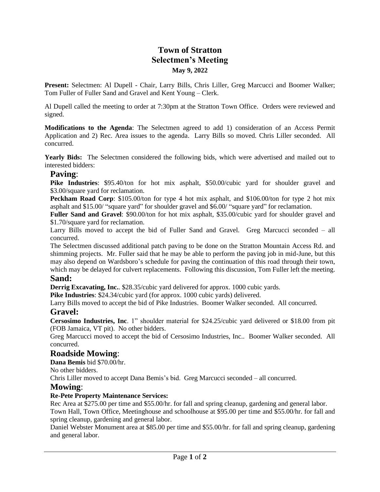# **Town of Stratton Selectmen's Meeting May 9, 2022**

**Present:** Selectmen: Al Dupell - Chair, Larry Bills, Chris Liller, Greg Marcucci and Boomer Walker; Tom Fuller of Fuller Sand and Gravel and Kent Young – Clerk.

Al Dupell called the meeting to order at 7:30pm at the Stratton Town Office. Orders were reviewed and signed.

**Modifications to the Agenda**: The Selectmen agreed to add 1) consideration of an Access Permit Application and 2) Rec. Area issues to the agenda. Larry Bills so moved. Chris Liller seconded. All concurred.

**Yearly Bids:** The Selectmen considered the following bids, which were advertised and mailed out to interested bidders:

### **Paving**:

**Pike Industries**: \$95.40/ton for hot mix asphalt, \$50.00/cubic yard for shoulder gravel and \$3.00/square yard for reclamation.

**Peckham Road Corp**: \$105.00/ton for type 4 hot mix asphalt, and \$106.00/ton for type 2 hot mix asphalt and \$15.00/ "square yard" for shoulder gravel and \$6.00/ "square yard" for reclamation.

**Fuller Sand and Gravel**: \$90.00/ton for hot mix asphalt, \$35.00/cubic yard for shoulder gravel and \$1.70/square yard for reclamation.

Larry Bills moved to accept the bid of Fuller Sand and Gravel. Greg Marcucci seconded – all concurred.

The Selectmen discussed additional patch paving to be done on the Stratton Mountain Access Rd. and shimming projects. Mr. Fuller said that he may be able to perform the paving job in mid-June, but this may also depend on Wardsboro's schedule for paving the continuation of this road through their town, which may be delayed for culvert replacements. Following this discussion, Tom Fuller left the meeting.

### **Sand:**

**Derrig Excavating, Inc.**. \$28.35/cubic yard delivered for approx. 1000 cubic yards.

**Pike Industries**: \$24.34/cubic yard (for approx. 1000 cubic yards) delivered.

Larry Bills moved to accept the bid of Pike Industries. Boomer Walker seconded. All concurred.

### **Gravel:**

**Cersosimo Industries, Inc**. 1" shoulder material for \$24.25/cubic yard delivered or \$18.00 from pit (FOB Jamaica, VT pit). No other bidders.

Greg Marcucci moved to accept the bid of Cersosimo Industries, Inc.. Boomer Walker seconded. All concurred.

## **Roadside Mowing**:

**Dana Bemis** bid \$70.00/hr.

No other bidders.

Chris Liller moved to accept Dana Bemis's bid. Greg Marcucci seconded – all concurred.

### **Mowing**:

#### **Re-Pete Property Maintenance Services:**

Rec Area at \$275.00 per time and \$55.00/hr. for fall and spring cleanup, gardening and general labor. Town Hall, Town Office, Meetinghouse and schoolhouse at \$95.00 per time and \$55.00/hr. for fall and

spring cleanup, gardening and general labor.

Daniel Webster Monument area at \$85.00 per time and \$55.00/hr. for fall and spring cleanup, gardening and general labor.